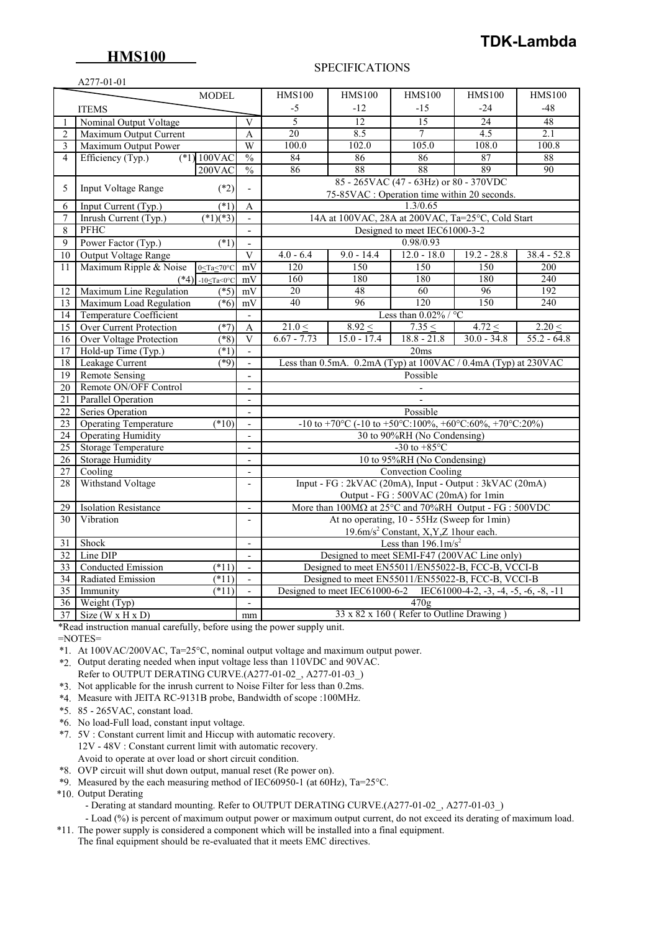# **HMS100**

# **TDK-Lambda**

#### A277-01-01

#### SPECIFICATIONS

|                 | $\Delta$ / / - 01 - 01<br><b>MODEL</b><br><b>HMS100</b><br><b>HMS100</b><br><b>HMS100</b><br><b>HMS100</b><br><b>HMS100</b>                   |                                |                                                                                |                 |                                                                |                 |                 |  |  |
|-----------------|-----------------------------------------------------------------------------------------------------------------------------------------------|--------------------------------|--------------------------------------------------------------------------------|-----------------|----------------------------------------------------------------|-----------------|-----------------|--|--|
|                 |                                                                                                                                               |                                |                                                                                |                 |                                                                |                 |                 |  |  |
|                 | <b>ITEMS</b>                                                                                                                                  |                                | -5                                                                             | $-12$           | $-15$                                                          | $-24$           | $-48$           |  |  |
|                 | Nominal Output Voltage                                                                                                                        | V                              | 5                                                                              | $\overline{12}$ | $\overline{15}$                                                | $\overline{24}$ | 48              |  |  |
| $\overline{2}$  | Maximum Output Current                                                                                                                        | $\mathbf{A}$                   | 20                                                                             | 8.5             | $\overline{7}$                                                 | 4.5             | 2.1             |  |  |
| $\overline{3}$  | Maximum Output Power                                                                                                                          | W                              | 100.0                                                                          | 102.0           | 105.0                                                          | 108.0           | 100.8           |  |  |
| $\overline{4}$  | $(*1) 100$ VAC<br>Efficiency (Typ.)                                                                                                           | $\frac{0}{0}$                  | 84                                                                             | 86              | 86                                                             | 87              | 88              |  |  |
|                 | $200$ VAC                                                                                                                                     | $\frac{0}{0}$                  | 86                                                                             | 88              | 88                                                             | 89              | $\overline{90}$ |  |  |
| 5               | Input Voltage Range<br>$(*2)$                                                                                                                 | $\overline{a}$                 |                                                                                |                 | 85 - 265VAC (47 - 63Hz) or 80 - 370VDC                         |                 |                 |  |  |
|                 |                                                                                                                                               |                                |                                                                                |                 | 75-85VAC : Operation time within 20 seconds.                   |                 |                 |  |  |
| 6               | $(*1)$<br>Input Current (Typ.)                                                                                                                | A                              |                                                                                |                 | 1.3/0.65                                                       |                 |                 |  |  |
| 7               | $(*1)(*3)$<br>Inrush Current (Typ.)                                                                                                           | $\sim$                         | 14A at 100VAC, 28A at 200VAC, Ta=25°C, Cold Start                              |                 |                                                                |                 |                 |  |  |
| 8               | PFHC                                                                                                                                          | $\blacksquare$                 |                                                                                |                 | Designed to meet IEC61000-3-2                                  |                 |                 |  |  |
| 9               | Power Factor (Typ.)<br>$(*1)$                                                                                                                 |                                |                                                                                |                 | 0.98/0.93                                                      |                 |                 |  |  |
| 10              | <b>Output Voltage Range</b>                                                                                                                   | $\mathbf{V}$                   | $4.0 - 6.4$                                                                    | $9.0 - 14.4$    | $12.0 - 18.0$                                                  | $19.2 - 28.8$   | $38.4 - 52.8$   |  |  |
| 11              | Maximum Ripple & Noise<br>$0 \leq Ta \leq 70^{\circ}C$                                                                                        | mV                             | 120                                                                            | 150             | 150                                                            | 150             | 200             |  |  |
|                 | $(*4)$ -10 <ta<0°c< td=""><td><math display="inline">\rm mV</math></td><td>160</td><td>180</td><td>180</td><td>180</td><td>240</td></ta<0°c<> | $\rm mV$                       | 160                                                                            | 180             | 180                                                            | 180             | 240             |  |  |
| 12              | Maximum Line Regulation<br>$(*5)$                                                                                                             | mV                             | 96<br>20<br>48<br>60<br>192                                                    |                 |                                                                |                 |                 |  |  |
| 13              | Maximum Load Regulation<br>$(*6)$                                                                                                             | mV                             | 40                                                                             | 96              | 120                                                            | 150             | 240             |  |  |
| 14              | <b>Temperature Coefficient</b>                                                                                                                | $\overline{\phantom{a}}$       |                                                                                |                 | Less than $0.02\%$ / °C                                        |                 |                 |  |  |
| $\overline{15}$ | $(*7)$<br>Over Current Protection                                                                                                             | $\boldsymbol{\mathsf{A}}$      | $21.0 \leq$                                                                    | $8.92 \leq$     | $7.35 \leq$                                                    | $4.72 \le$      | $2.20 \le$      |  |  |
| 16              | Over Voltage Protection<br>$(8^*)$                                                                                                            | $\overline{V}$                 | $6.67 - 7.73$                                                                  | $15.0 - 17.4$   | $18.8 - 21.8$                                                  | $30.0 - 34.8$   | $55.2 - 64.8$   |  |  |
| 17              | Hold-up Time (Typ.)<br>$(\ast 1)$                                                                                                             | $\blacksquare$                 |                                                                                |                 | 20ms                                                           |                 |                 |  |  |
| $\overline{18}$ | Leakage Current<br>$*9)$                                                                                                                      |                                |                                                                                |                 | Less than 0.5mA. 0.2mA (Typ) at 100VAC / 0.4mA (Typ) at 230VAC |                 |                 |  |  |
| 19              | <b>Remote Sensing</b>                                                                                                                         | $\mathbf{r}$                   |                                                                                |                 | Possible                                                       |                 |                 |  |  |
| $\overline{20}$ | Remote ON/OFF Control                                                                                                                         | $\overline{a}$                 |                                                                                |                 |                                                                |                 |                 |  |  |
| 21              | Parallel Operation                                                                                                                            | $\blacksquare$                 |                                                                                |                 |                                                                |                 |                 |  |  |
| 22              | <b>Series Operation</b>                                                                                                                       | $\mathbf{r}$                   |                                                                                |                 | Possible                                                       |                 |                 |  |  |
| 23              | <b>Operating Temperature</b><br>$(*10)$                                                                                                       | $\blacksquare$                 | -10 to +70°C (-10 to +50°C:100%, +60°C:60%, +70°C:20%)                         |                 |                                                                |                 |                 |  |  |
| 24              | <b>Operating Humidity</b>                                                                                                                     | $\overline{\phantom{a}}$       |                                                                                |                 | 30 to 90%RH (No Condensing)                                    |                 |                 |  |  |
| $\overline{25}$ | Storage Temperature                                                                                                                           | $\sim$                         | -30 to $+85^{\circ}$ C                                                         |                 |                                                                |                 |                 |  |  |
| 26              | <b>Storage Humidity</b>                                                                                                                       | $\overline{a}$                 | 10 to 95%RH (No Condensing)                                                    |                 |                                                                |                 |                 |  |  |
| $\overline{27}$ | Cooling                                                                                                                                       | $\overline{\phantom{a}}$       |                                                                                |                 | <b>Convection Cooling</b>                                      |                 |                 |  |  |
| 28              | Withstand Voltage                                                                                                                             | $\overline{\phantom{a}}$       |                                                                                |                 | Input - FG : 2kVAC (20mA), Input - Output : 3kVAC (20mA)       |                 |                 |  |  |
|                 |                                                                                                                                               |                                |                                                                                |                 | Output - FG : 500VAC (20mA) for 1min                           |                 |                 |  |  |
| 29              | <b>Isolation Resistance</b>                                                                                                                   | $\overline{\phantom{a}}$       | More than $100M\Omega$ at $25^{\circ}$ C and $70\%$ RH Output - FG : $500$ VDC |                 |                                                                |                 |                 |  |  |
| 30              | Vibration                                                                                                                                     |                                | At no operating, 10 - 55Hz (Sweep for 1min)                                    |                 |                                                                |                 |                 |  |  |
|                 | 19.6m/s <sup>2</sup> Constant, X,Y,Z 1hour each.                                                                                              |                                |                                                                                |                 |                                                                |                 |                 |  |  |
| 31              | Shock                                                                                                                                         | Less than $196.1 \text{m/s}^2$ |                                                                                |                 |                                                                |                 |                 |  |  |
| 32              | Line DIP                                                                                                                                      | $\mathbf{r}$                   | Designed to meet SEMI-F47 (200VAC Line only)                                   |                 |                                                                |                 |                 |  |  |
| 33              | <b>Conducted Emission</b><br>$(*11)$                                                                                                          | $\overline{\phantom{a}}$       | Designed to meet EN55011/EN55022-B, FCC-B, VCCI-B                              |                 |                                                                |                 |                 |  |  |
| 34              | $(*11)$<br>Radiated Emission                                                                                                                  | $\mathbf{r}$                   | Designed to meet EN55011/EN55022-B, FCC-B, VCCI-B                              |                 |                                                                |                 |                 |  |  |
| 35              | (11)<br>Immunity                                                                                                                              | $\overline{a}$                 | Designed to meet IEC61000-6-2 IEC61000-4-2, -3, -4, -5, -6, -8, -11            |                 |                                                                |                 |                 |  |  |
| $\overline{36}$ | Weight (Typ)                                                                                                                                  | $\frac{1}{2}$                  | $\overline{470g}$                                                              |                 |                                                                |                 |                 |  |  |
| 37              | Size ( $W \times H \times D$ )                                                                                                                | mm                             | 33 x 82 x 160 (Refer to Outline Drawing)                                       |                 |                                                                |                 |                 |  |  |

\*Read instruction manual carefully, before using the power supply unit.

 $=$ NOTES $=$ 

\*1. At 100VAC/200VAC, Ta=25°C, nominal output voltage and maximum output power.

- \*2. Output derating needed when input voltage less than 110VDC and 90VAC. Refer to OUTPUT DERATING CURVE.(A277-01-02\_, A277-01-03\_)
- \*3. Not applicable for the inrush current to Noise Filter for less than 0.2ms.
- \*4. Measure with JEITA RC-9131B probe, Bandwidth of scope :100MHz.
- \*5. 85 265VAC, constant load.
- \*6. No load-Full load, constant input voltage.
- \*7. 5V : Constant current limit and Hiccup with automatic recovery. 12V - 48V : Constant current limit with automatic recovery. Avoid to operate at over load or short circuit condition.
- \*8. OVP circuit will shut down output, manual reset (Re power on).
- \*9. Measured by the each measuring method of IEC60950-1 (at 60Hz), Ta=25°C.
- \*10. Output Derating

- Derating at standard mounting. Refer to OUTPUT DERATING CURVE.(A277-01-02, A277-01-03)

 - Load (%) is percent of maximum output power or maximum output current, do not exceed its derating of maximum load. \*11. The power supply is considered a component which will be installed into a final equipment.

The final equipment should be re-evaluated that it meets EMC directives.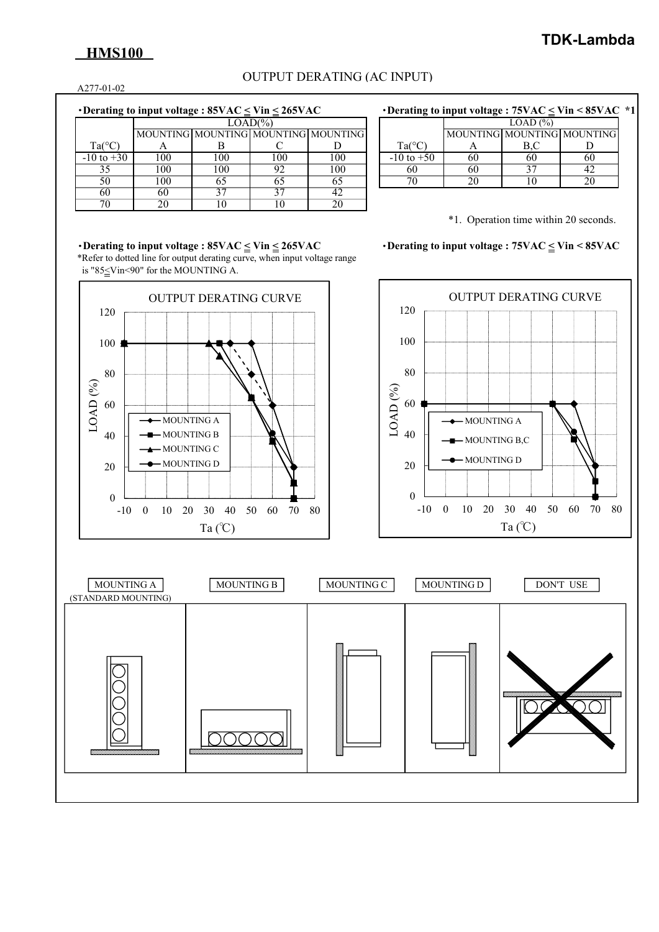# **HMS100**

## OUTPUT DERATING (AC INPUT)

A277-01-02

|  | Derating to input voltage : $85\text{VAC} \leq \text{Vir} \leq 265\text{VAC}$ |  |
|--|-------------------------------------------------------------------------------|--|

|                 |     | $LOAD(\% )$                         |     |     |  |  |  |  |  |
|-----------------|-----|-------------------------------------|-----|-----|--|--|--|--|--|
|                 |     | MOUNTING MOUNTING MOUNTING MOUNTING |     |     |  |  |  |  |  |
| $Ta(^{\circ}C)$ |     |                                     |     |     |  |  |  |  |  |
| $-10$ to $+30$  | 100 | 100                                 | 100 | 100 |  |  |  |  |  |
| 35              | 100 | 100                                 | 92  | 100 |  |  |  |  |  |
| 50              | 100 | 65                                  | 65  | 65  |  |  |  |  |  |
| 60              | 60  |                                     | 37  | 42  |  |  |  |  |  |
|                 | ንበ  |                                     |     |     |  |  |  |  |  |

| • Derating to input voltage : $85\text{VAC} \leq \text{Vir} \leq 265\text{VAC}$ | • Derating to input voltage : $75\text{VAC} \leq \text{Vir} \leq 85\text{VAC}$ *1 |
|---------------------------------------------------------------------------------|-----------------------------------------------------------------------------------|
|                                                                                 |                                                                                   |

|                 | $LOAD (\% )$               |  |  |  |  |  |  |
|-----------------|----------------------------|--|--|--|--|--|--|
|                 | MOUNTING MOUNTING MOUNTING |  |  |  |  |  |  |
| $Ta(^{\circ}C)$ |                            |  |  |  |  |  |  |
| $-10$ to $+50$  |                            |  |  |  |  |  |  |
|                 |                            |  |  |  |  |  |  |
|                 |                            |  |  |  |  |  |  |

\*1. Operation time within 20 seconds.

・**Derating to input voltage : 85VAC < Vin < 265VAC** ・**Derating to input voltage : 75VAC < Vin < 85VAC** \*Refer to dotted line for output derating curve, when input voltage range is "85<Vin<90" for the MOUNTING A.